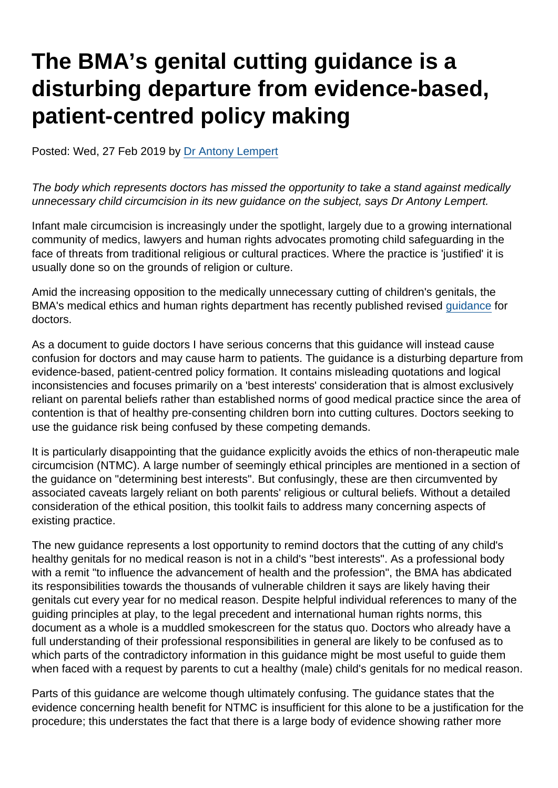# The BMA's genital cutting guidance is a disturbing departure from evidence-based, patient-centred policy making

Posted: Wed, 27 Feb 2019 by [Dr Antony Lempert](https://www.secularism.org.uk/opinion/authors/860)

The body which represents doctors has missed the opportunity to take a stand against medically unnecessary child circumcision in its new guidance on the subject, says Dr Antony Lempert.

Infant male circumcision is increasingly under the spotlight, largely due to a growing international community of medics, lawyers and human rights advocates promoting child safeguarding in the face of threats from traditional religious or cultural practices. Where the practice is 'justified' it is usually done so on the grounds of religion or culture.

Amid the increasing opposition to the medically unnecessary cutting of children's genitals, the BMA's medical ethics and human rights department has recently published revised [guidance](https://www.bma.org.uk/advice/employment/ethics/children-and-young-people/non-therapeutic-male-circumcision-of-children-ethics-toolkit/introduction) for doctors.

As a document to guide doctors I have serious concerns that this guidance will instead cause confusion for doctors and may cause harm to patients. The guidance is a disturbing departure from evidence-based, patient-centred policy formation. It contains misleading quotations and logical inconsistencies and focuses primarily on a 'best interests' consideration that is almost exclusively reliant on parental beliefs rather than established norms of good medical practice since the area of contention is that of healthy pre-consenting children born into cutting cultures. Doctors seeking to use the guidance risk being confused by these competing demands.

It is particularly disappointing that the guidance explicitly avoids the ethics of non-therapeutic male circumcision (NTMC). A large number of seemingly ethical principles are mentioned in a section of the guidance on "determining best interests". But confusingly, these are then circumvented by associated caveats largely reliant on both parents' religious or cultural beliefs. Without a detailed consideration of the ethical position, this toolkit fails to address many concerning aspects of existing practice.

The new guidance represents a lost opportunity to remind doctors that the cutting of any child's healthy genitals for no medical reason is not in a child's "best interests". As a professional body with a remit "to influence the advancement of health and the profession", the BMA has abdicated its responsibilities towards the thousands of vulnerable children it says are likely having their genitals cut every year for no medical reason. Despite helpful individual references to many of the guiding principles at play, to the legal precedent and international human rights norms, this document as a whole is a muddled smokescreen for the status quo. Doctors who already have a full understanding of their professional responsibilities in general are likely to be confused as to which parts of the contradictory information in this guidance might be most useful to guide them when faced with a request by parents to cut a healthy (male) child's genitals for no medical reason.

Parts of this guidance are welcome though ultimately confusing. The guidance states that the evidence concerning health benefit for NTMC is insufficient for this alone to be a justification for the procedure; this understates the fact that there is a large body of evidence showing rather more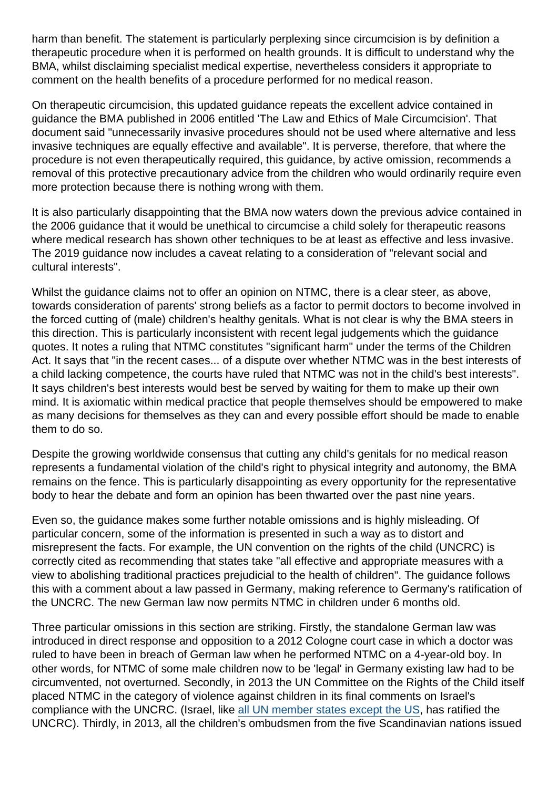harm than benefit. The statement is particularly perplexing since circumcision is by definition a therapeutic procedure when it is performed on health grounds. It is difficult to understand why the BMA, whilst disclaiming specialist medical expertise, nevertheless considers it appropriate to comment on the health benefits of a procedure performed for no medical reason.

On therapeutic circumcision, this updated guidance repeats the excellent advice contained in guidance the BMA published in 2006 entitled 'The Law and Ethics of Male Circumcision'. That document said "unnecessarily invasive procedures should not be used where alternative and less invasive techniques are equally effective and available". It is perverse, therefore, that where the procedure is not even therapeutically required, this guidance, by active omission, recommends a removal of this protective precautionary advice from the children who would ordinarily require even more protection because there is nothing wrong with them.

It is also particularly disappointing that the BMA now waters down the previous advice contained in the 2006 guidance that it would be unethical to circumcise a child solely for therapeutic reasons where medical research has shown other techniques to be at least as effective and less invasive. The 2019 guidance now includes a caveat relating to a consideration of "relevant social and cultural interests".

Whilst the guidance claims not to offer an opinion on NTMC, there is a clear steer, as above, towards consideration of parents' strong beliefs as a factor to permit doctors to become involved in the forced cutting of (male) children's healthy genitals. What is not clear is why the BMA steers in this direction. This is particularly inconsistent with recent legal judgements which the guidance quotes. It notes a ruling that NTMC constitutes "significant harm" under the terms of the Children Act. It says that "in the recent cases... of a dispute over whether NTMC was in the best interests of a child lacking competence, the courts have ruled that NTMC was not in the child's best interests". It says children's best interests would best be served by waiting for them to make up their own mind. It is axiomatic within medical practice that people themselves should be empowered to make as many decisions for themselves as they can and every possible effort should be made to enable them to do so.

Despite the growing worldwide consensus that cutting any child's genitals for no medical reason represents a fundamental violation of the child's right to physical integrity and autonomy, the BMA remains on the fence. This is particularly disappointing as every opportunity for the representative body to hear the debate and form an opinion has been thwarted over the past nine years.

Even so, the guidance makes some further notable omissions and is highly misleading. Of particular concern, some of the information is presented in such a way as to distort and misrepresent the facts. For example, the UN convention on the rights of the child (UNCRC) is correctly cited as recommending that states take "all effective and appropriate measures with a view to abolishing traditional practices prejudicial to the health of children". The guidance follows this with a comment about a law passed in Germany, making reference to Germany's ratification of the UNCRC. The new German law now permits NTMC in children under 6 months old.

Three particular omissions in this section are striking. Firstly, the standalone German law was introduced in direct response and opposition to a 2012 Cologne court case in which a doctor was ruled to have been in breach of German law when he performed NTMC on a 4-year-old boy. In other words, for NTMC of some male children now to be 'legal' in Germany existing law had to be circumvented, not overturned. Secondly, in 2013 the UN Committee on the Rights of the Child itself placed NTMC in the category of violence against children in its final comments on Israel's compliance with the UNCRC. (Israel, like [all UN member states except the US](https://www.unicef.org.uk/what-we-do/un-convention-child-rights/), has ratified the UNCRC). Thirdly, in 2013, all the children's ombudsmen from the five Scandinavian nations issued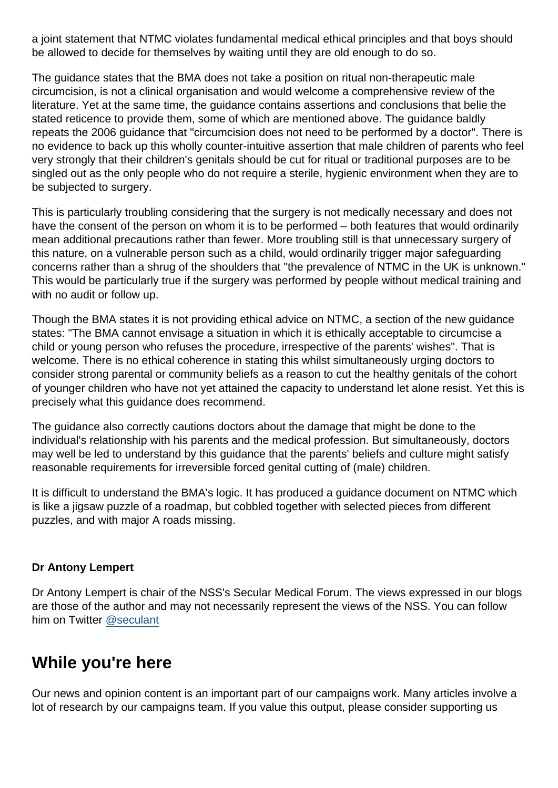a joint statement that NTMC violates fundamental medical ethical principles and that boys should be allowed to decide for themselves by waiting until they are old enough to do so.

The guidance states that the BMA does not take a position on ritual non-therapeutic male circumcision, is not a clinical organisation and would welcome a comprehensive review of the literature. Yet at the same time, the guidance contains assertions and conclusions that belie the stated reticence to provide them, some of which are mentioned above. The guidance baldly repeats the 2006 guidance that "circumcision does not need to be performed by a doctor". There is no evidence to back up this wholly counter-intuitive assertion that male children of parents who feel very strongly that their children's genitals should be cut for ritual or traditional purposes are to be singled out as the only people who do not require a sterile, hygienic environment when they are to be subjected to surgery.

This is particularly troubling considering that the surgery is not medically necessary and does not have the consent of the person on whom it is to be performed – both features that would ordinarily mean additional precautions rather than fewer. More troubling still is that unnecessary surgery of this nature, on a vulnerable person such as a child, would ordinarily trigger major safeguarding concerns rather than a shrug of the shoulders that "the prevalence of NTMC in the UK is unknown." This would be particularly true if the surgery was performed by people without medical training and with no audit or follow up.

Though the BMA states it is not providing ethical advice on NTMC, a section of the new guidance states: "The BMA cannot envisage a situation in which it is ethically acceptable to circumcise a child or young person who refuses the procedure, irrespective of the parents' wishes". That is welcome. There is no ethical coherence in stating this whilst simultaneously urging doctors to consider strong parental or community beliefs as a reason to cut the healthy genitals of the cohort of younger children who have not yet attained the capacity to understand let alone resist. Yet this is precisely what this guidance does recommend.

The guidance also correctly cautions doctors about the damage that might be done to the individual's relationship with his parents and the medical profession. But simultaneously, doctors may well be led to understand by this guidance that the parents' beliefs and culture might satisfy reasonable requirements for irreversible forced genital cutting of (male) children.

It is difficult to understand the BMA's logic. It has produced a guidance document on NTMC which is like a jigsaw puzzle of a roadmap, but cobbled together with selected pieces from different puzzles, and with major A roads missing.

#### Dr Antony Lempert

Dr Antony Lempert is chair of the NSS's Secular Medical Forum. The views expressed in our blogs are those of the author and may not necessarily represent the views of the NSS. You can follow him on Twitter [@seculant](https://twitter.com/seculant?lang=en)

## While you're here

Our news and opinion content is an important part of our campaigns work. Many articles involve a lot of research by our campaigns team. If you value this output, please consider supporting us